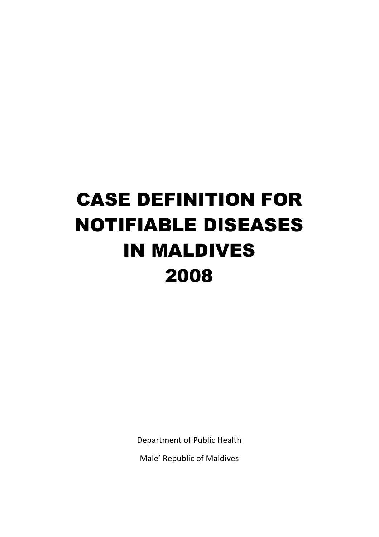# CASE DEFINITION FOR NOTIFIABLE DISEASES IN MALDIVES 2008

Department of Public Health

Male' Republic of Maldives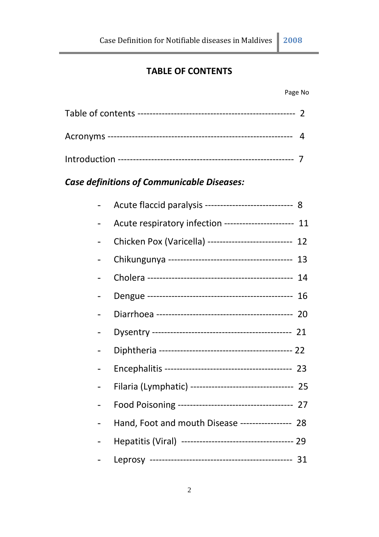# **TABLE OF CONTENTS**

#### Page No

# *Case definitions of Communicable Diseases:*

| Acute flaccid paralysis ---------------------------- 8    |  |
|-----------------------------------------------------------|--|
| Acute respiratory infection ----------------------- 11    |  |
| Chicken Pox (Varicella) --------------------------- 12    |  |
|                                                           |  |
|                                                           |  |
|                                                           |  |
|                                                           |  |
|                                                           |  |
|                                                           |  |
|                                                           |  |
| Filaria (Lymphatic) ---------------------------------- 25 |  |
|                                                           |  |
| Hand, Foot and mouth Disease ---------------- 28          |  |
|                                                           |  |
|                                                           |  |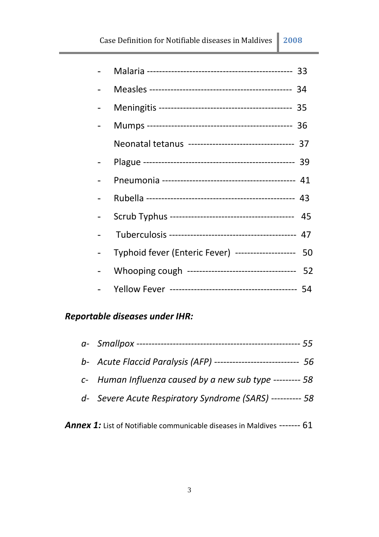|  | Neonatal tetanus ---------------------------------- 37 |  |
|--|--------------------------------------------------------|--|
|  |                                                        |  |
|  |                                                        |  |
|  |                                                        |  |
|  |                                                        |  |
|  |                                                        |  |
|  | Typhoid fever (Enteric Fever) -------------------- 50  |  |
|  | Whooping cough ---------------------------------- 52   |  |
|  |                                                        |  |

# *Reportable diseases under IHR:*

| b- Acute Flaccid Paralysis (AFP) ---------------------------- 56 |  |
|------------------------------------------------------------------|--|
| c- Human Influenza caused by a new sub type --------- 58         |  |
| d- Severe Acute Respiratory Syndrome (SARS) ---------- 58        |  |

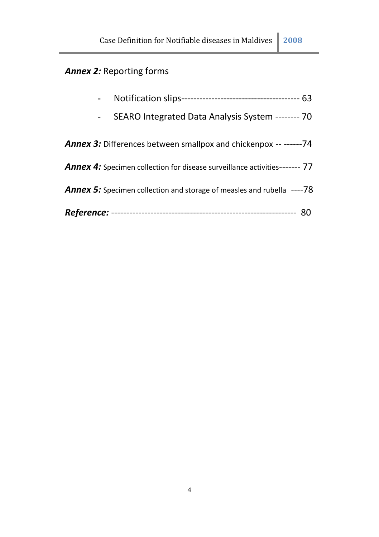# *Annex 2:* Reporting forms

|  | SEARO Integrated Data Analysis System -------- 70                             |
|--|-------------------------------------------------------------------------------|
|  | <b>Annex 3:</b> Differences between smallpox and chickenpox -- ------74       |
|  | Annex 4: Specimen collection for disease surveillance activities------- 77    |
|  | <b>Annex 5:</b> Specimen collection and storage of measles and rubella ----78 |
|  |                                                                               |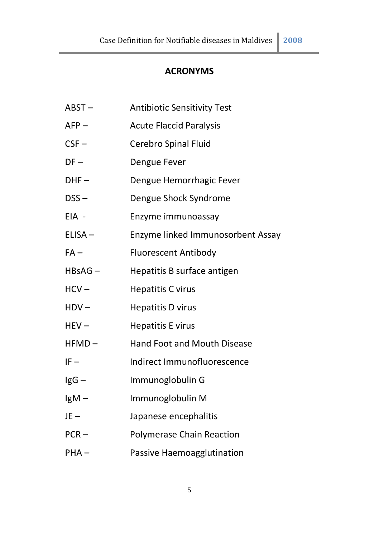# **ACRONYMS**

| $ABST -$ | <b>Antibiotic Sensitivity Test</b> |
|----------|------------------------------------|
| $AFP -$  | <b>Acute Flaccid Paralysis</b>     |
| $CSF -$  | Cerebro Spinal Fluid               |
| $DF -$   | Dengue Fever                       |
| $DHF -$  | Dengue Hemorrhagic Fever           |
| $DSS -$  | Dengue Shock Syndrome              |
| EIA -    | Enzyme immunoassay                 |
| ELISA-   | Enzyme linked Immunosorbent Assay  |
| $FA -$   | <b>Fluorescent Antibody</b>        |
| HBsAG-   | Hepatitis B surface antigen        |
| $HCV -$  | <b>Hepatitis C virus</b>           |
| $HDV -$  | <b>Hepatitis D virus</b>           |
| $HEV -$  | <b>Hepatitis E virus</b>           |
| $HFMD -$ | Hand Foot and Mouth Disease        |
| $IF -$   | Indirect Immunofluorescence        |
| $lgG -$  | Immunoglobulin G                   |
| $lgM -$  | Immunoglobulin M                   |
| $JE -$   | Japanese encephalitis              |
| $PCR -$  | <b>Polymerase Chain Reaction</b>   |
| $PHA -$  | Passive Haemoagglutination         |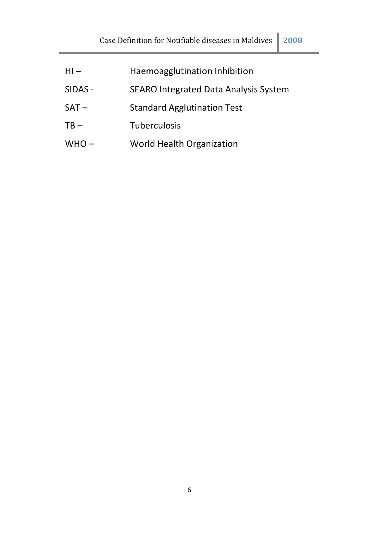| $HI -$  | Haemoagglutination Inhibition         |
|---------|---------------------------------------|
| SIDAS - | SEARO Integrated Data Analysis System |
| $SAT -$ | <b>Standard Agglutination Test</b>    |
| $TB -$  | <b>Tuberculosis</b>                   |
| $WHO -$ | World Health Organization             |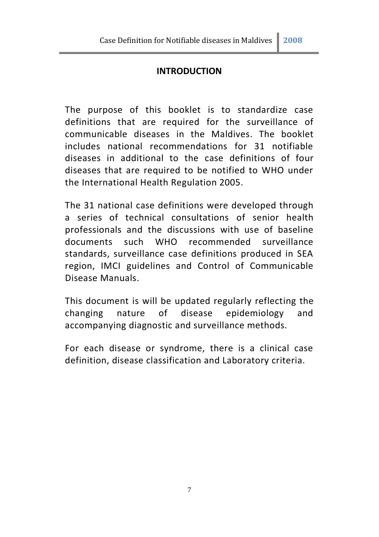# **INTRODUCTION**

The purpose of this booklet is to standardize case definitions that are required for the surveillance of communicable diseases in the Maldives. The booklet includes national recommendations for 31 notifiable diseases in additional to the case definitions of four diseases that are required to be notified to WHO under the International Health Regulation 2005.

The 31 national case definitions were developed through a series of technical consultations of senior health professionals and the discussions with use of baseline documents such WHO recommended surveillance standards, surveillance case definitions produced in SEA region, IMCI guidelines and Control of Communicable Disease Manuals.

This document is will be updated regularly reflecting the changing nature of disease epidemiology and accompanying diagnostic and surveillance methods.

For each disease or syndrome, there is a clinical case definition, disease classification and Laboratory criteria.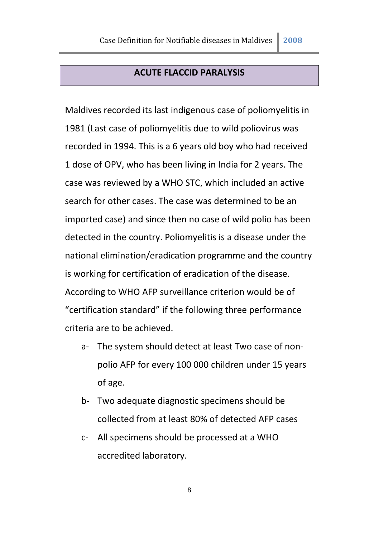#### **ACUTE FLACCID PARALYSIS**

Maldives recorded its last indigenous case of poliomyelitis in 1981 (Last case of poliomyelitis due to wild poliovirus was recorded in 1994. This is a 6 years old boy who had received 1 dose of OPV, who has been living in India for 2 years. The case was reviewed by a WHO STC, which included an active search for other cases. The case was determined to be an imported case) and since then no case of wild polio has been detected in the country. Poliomyelitis is a disease under the national elimination/eradication programme and the country is working for certification of eradication of the disease. According to WHO AFP surveillance criterion would be of "certification standard" if the following three performance criteria are to be achieved.

- a- The system should detect at least Two case of nonpolio AFP for every 100 000 children under 15 years of age.
- b- Two adequate diagnostic specimens should be collected from at least 80% of detected AFP cases
- c- All specimens should be processed at a WHO accredited laboratory.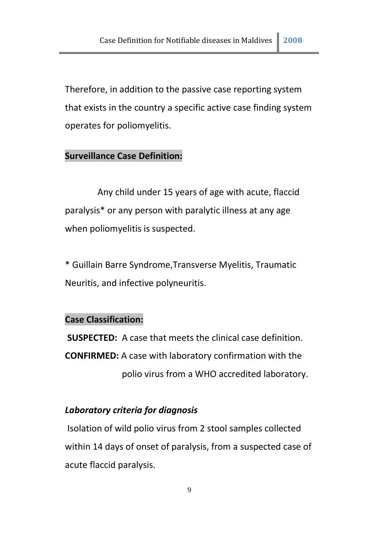Therefore, in addition to the passive case reporting system that exists in the country a specific active case finding system operates for poliomyelitis.

# **Surveillance Case Definition:**

Any child under 15 years of age with acute, flaccid paralysis\* or any person with paralytic illness at any age when poliomyelitis is suspected.

\* Guillain Barre Syndrome,Transverse Myelitis, Traumatic Neuritis, and infective polyneuritis.

#### **Case Classification:**

**SUSPECTED:** A case that meets the clinical case definition. **CONFIRMED:** A case with laboratory confirmation with the polio virus from a WHO accredited laboratory.

#### *Laboratory criteria for diagnosis*

Isolation of wild polio virus from 2 stool samples collected within 14 days of onset of paralysis, from a suspected case of acute flaccid paralysis.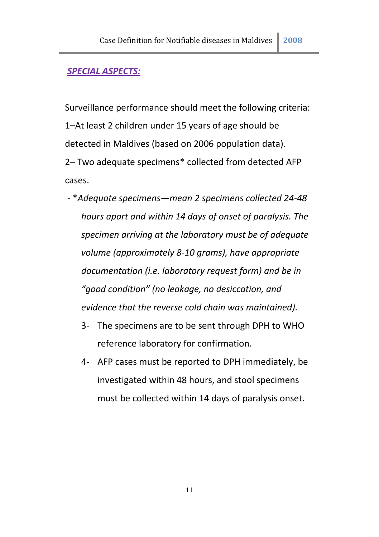#### *SPECIAL ASPECTS:*

Surveillance performance should meet the following criteria: 1–At least 2 children under 15 years of age should be detected in Maldives (based on 2006 population data).

2– Two adequate specimens\* collected from detected AFP cases.

- \**Adequate specimens—mean 2 specimens collected 24-48 hours apart and within 14 days of onset of paralysis. The specimen arriving at the laboratory must be of adequate volume (approximately 8-10 grams), have appropriate documentation (i.e. laboratory request form) and be in "good condition" (no leakage, no desiccation, and evidence that the reverse cold chain was maintained).* 
	- 3- The specimens are to be sent through DPH to WHO reference laboratory for confirmation.
	- 4- AFP cases must be reported to DPH immediately, be investigated within 48 hours, and stool specimens must be collected within 14 days of paralysis onset.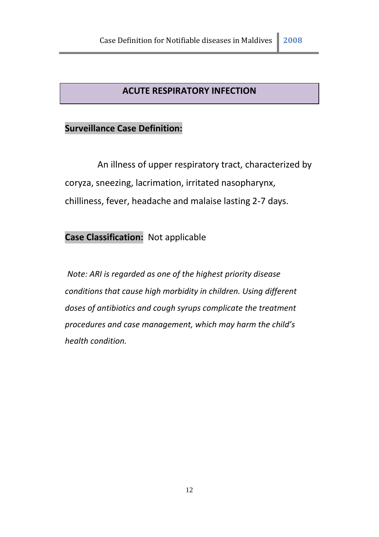# **ACUTE RESPIRATORY INFECTION**

# **Surveillance Case Definition:**

An illness of upper respiratory tract, characterized by coryza, sneezing, lacrimation, irritated nasopharynx, chilliness, fever, headache and malaise lasting 2-7 days.

# **Case Classification:** Not applicable

*Note: ARI is regarded as one of the highest priority disease conditions that cause high morbidity in children. Using different doses of antibiotics and cough syrups complicate the treatment procedures and case management, which may harm the child's health condition.*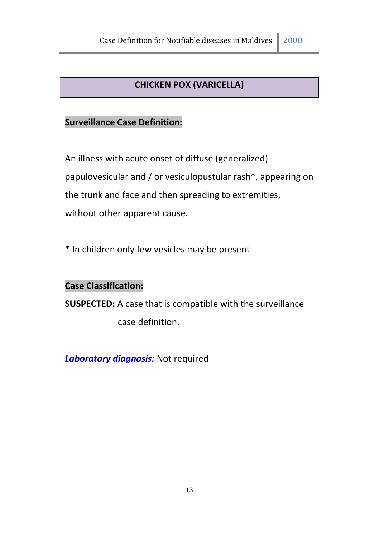# **CHICKEN POX (VARICELLA)**

# **Surveillance Case Definition:**

An illness with acute onset of diffuse (generalized) papulovesicular and / or vesiculopustular rash\*, appearing on the trunk and face and then spreading to extremities, without other apparent cause.

\* In children only few vesicles may be present

#### **Case Classification:**

**SUSPECTED:** A case that is compatible with the surveillance

case definition.

*Laboratory diagnosis:* Not required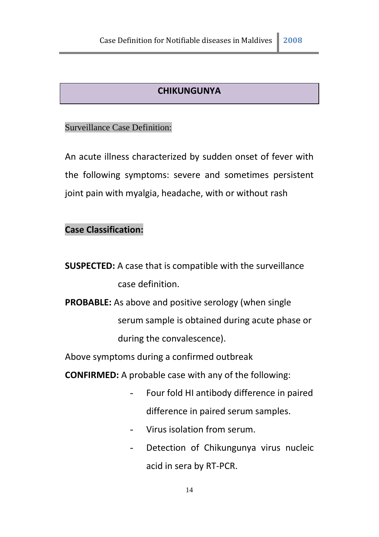#### **CHIKUNGUNYA**

#### Surveillance Case Definition:

An acute illness characterized by sudden onset of fever with the following symptoms: severe and sometimes persistent joint pain with myalgia, headache, with or without rash

# **Case Classification:**

**SUSPECTED:** A case that is compatible with the surveillance case definition.

**PROBABLE:** As above and positive serology (when single serum sample is obtained during acute phase or during the convalescence).

Above symptoms during a confirmed outbreak

**CONFIRMED:** A probable case with any of the following:

- Four fold HI antibody difference in paired difference in paired serum samples.
- Virus isolation from serum.
- Detection of Chikungunya virus nucleic acid in sera by RT-PCR.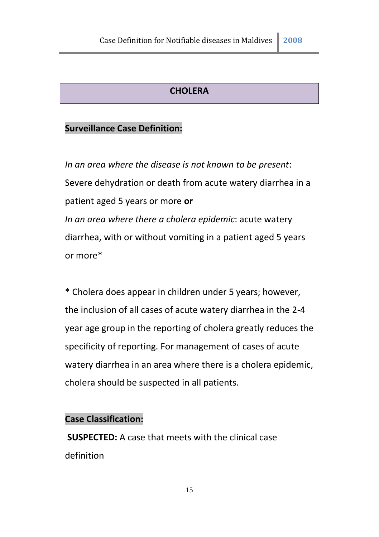#### **CHOLERA**

### **Surveillance Case Definition:**

*In an area where the disease is not known to be present*: Severe dehydration or death from acute watery diarrhea in a patient aged 5 years or more **or** *In an area where there a cholera epidemic*: acute watery diarrhea, with or without vomiting in a patient aged 5 years or more\*

\* Cholera does appear in children under 5 years; however, the inclusion of all cases of acute watery diarrhea in the 2-4 year age group in the reporting of cholera greatly reduces the specificity of reporting. For management of cases of acute watery diarrhea in an area where there is a cholera epidemic, cholera should be suspected in all patients.

#### **Case Classification:**

**SUSPECTED:** A case that meets with the clinical case definition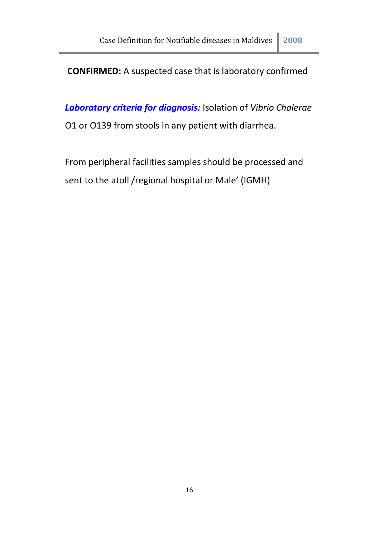# **CONFIRMED:** A suspected case that is laboratory confirmed

*Laboratory criteria for diagnosis:* Isolation of *Vibrio Cholerae* O1 or O139 from stools in any patient with diarrhea.

From peripheral facilities samples should be processed and sent to the atoll /regional hospital or Male' (IGMH)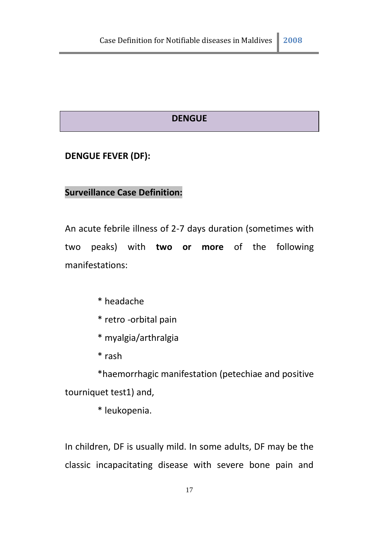#### **DENGUE**

#### **DENGUE FEVER (DF):**

#### **Surveillance Case Definition:**

An acute febrile illness of 2-7 days duration (sometimes with two peaks) with **two or more** of the following manifestations:

- \* headache
- \* retro -orbital pain
- \* myalgia/arthralgia
- \* rash

\*haemorrhagic manifestation (petechiae and positive tourniquet test1) and,

\* leukopenia.

In children, DF is usually mild. In some adults, DF may be the classic incapacitating disease with severe bone pain and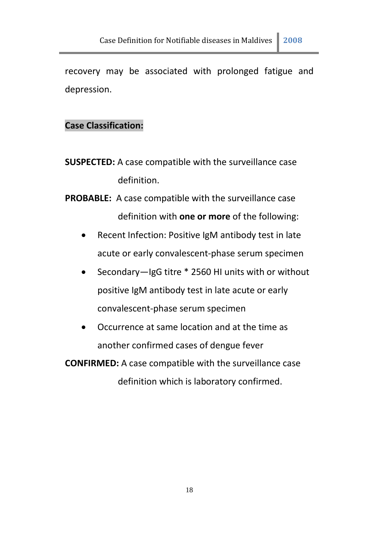recovery may be associated with prolonged fatigue and depression.

#### **Case Classification:**

- **SUSPECTED:** A case compatible with the surveillance case definition.
- **PROBABLE:** A case compatible with the surveillance case definition with **one or more** of the following:
	- Recent Infection: Positive IgM antibody test in late acute or early convalescent-phase serum specimen
	- Secondary—IgG titre \* 2560 HI units with or without positive IgM antibody test in late acute or early convalescent-phase serum specimen
	- Occurrence at same location and at the time as another confirmed cases of dengue fever

**CONFIRMED:** A case compatible with the surveillance case definition which is laboratory confirmed.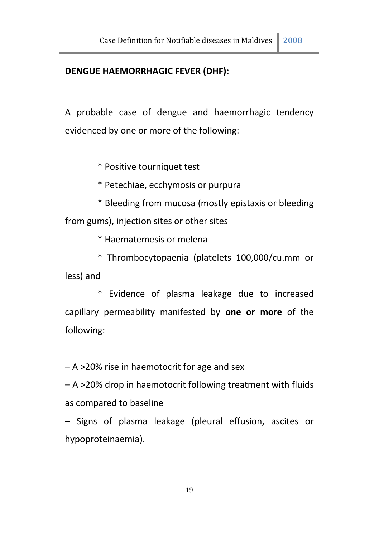#### **DENGUE HAEMORRHAGIC FEVER (DHF):**

A probable case of dengue and haemorrhagic tendency evidenced by one or more of the following:

\* Positive tourniquet test

- \* Petechiae, ecchymosis or purpura
- \* Bleeding from mucosa (mostly epistaxis or bleeding from gums), injection sites or other sites

\* Haematemesis or melena

\* Thrombocytopaenia (platelets 100,000/cu.mm or less) and

\* Evidence of plasma leakage due to increased capillary permeability manifested by **one or more** of the following:

– A >20% rise in haemotocrit for age and sex

– A >20% drop in haemotocrit following treatment with fluids as compared to baseline

– Signs of plasma leakage (pleural effusion, ascites or hypoproteinaemia).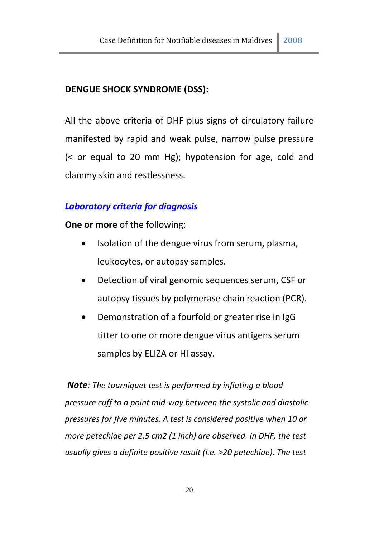#### **DENGUE SHOCK SYNDROME (DSS):**

All the above criteria of DHF plus signs of circulatory failure manifested by rapid and weak pulse, narrow pulse pressure (< or equal to 20 mm Hg); hypotension for age, cold and clammy skin and restlessness.

#### *Laboratory criteria for diagnosis*

**One or more** of the following:

- Isolation of the dengue virus from serum, plasma, leukocytes, or autopsy samples.
- Detection of viral genomic sequences serum, CSF or autopsy tissues by polymerase chain reaction (PCR).
- Demonstration of a fourfold or greater rise in IgG titter to one or more dengue virus antigens serum samples by ELIZA or HI assay.

*Note: The tourniquet test is performed by inflating a blood pressure cuff to a point mid-way between the systolic and diastolic pressures for five minutes. A test is considered positive when 10 or more petechiae per 2.5 cm2 (1 inch) are observed. In DHF, the test usually gives a definite positive result (i.e. >20 petechiae). The test*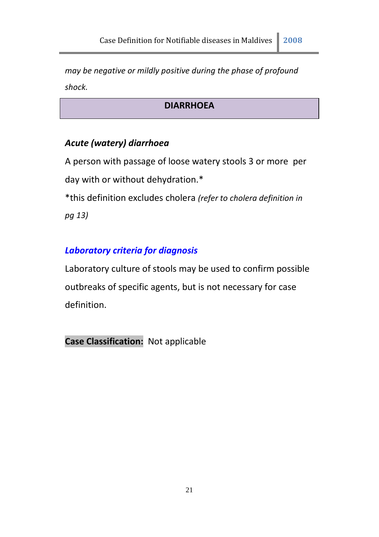*may be negative or mildly positive during the phase of profound shock.*

# **DIARRHOEA**

# *Acute (watery) diarrhoea*

A person with passage of loose watery stools 3 or more per day with or without dehydration.\* \*this definition excludes cholera *(refer to cholera definition in pg 13)*

# *Laboratory criteria for diagnosis*

Laboratory culture of stools may be used to confirm possible outbreaks of specific agents, but is not necessary for case definition.

**Case Classification:** Not applicable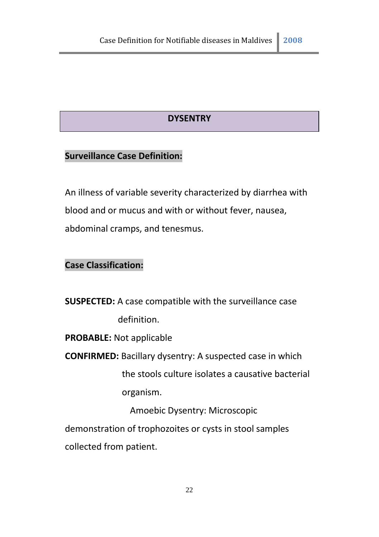# **DYSENTRY**

# **Surveillance Case Definition:**

An illness of variable severity characterized by diarrhea with blood and or mucus and with or without fever, nausea, abdominal cramps, and tenesmus.

# **Case Classification:**

**SUSPECTED:** A case compatible with the surveillance case definition.

**PROBABLE:** Not applicable

**CONFIRMED:** Bacillary dysentry: A suspected case in which

the stools culture isolates a causative bacterial organism.

Amoebic Dysentry: Microscopic

demonstration of trophozoites or cysts in stool samples

collected from patient.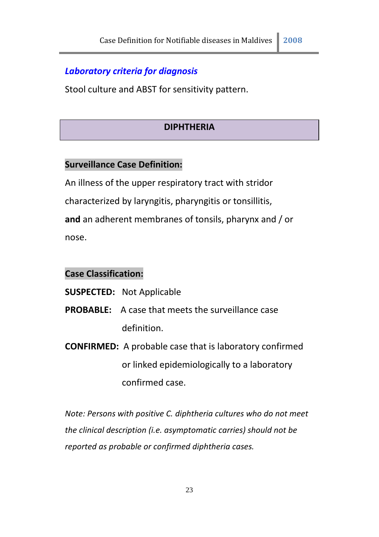#### *Laboratory criteria for diagnosis*

Stool culture and ABST for sensitivity pattern.

#### **DIPHTHERIA**

#### **Surveillance Case Definition:**

An illness of the upper respiratory tract with stridor characterized by laryngitis, pharyngitis or tonsillitis, **and** an adherent membranes of tonsils, pharynx and / or nose.

#### **Case Classification:**

#### **SUSPECTED:** Not Applicable

- **PROBABLE:** A case that meets the surveillance case definition.
- **CONFIRMED:** A probable case that is laboratory confirmed or linked epidemiologically to a laboratory confirmed case.

*Note: Persons with positive C. diphtheria cultures who do not meet the clinical description (i.e. asymptomatic carries) should not be reported as probable or confirmed diphtheria cases.*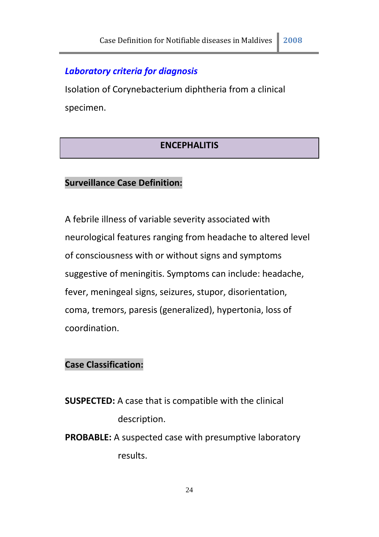# *Laboratory criteria for diagnosis*

Isolation of Corynebacterium diphtheria from a clinical specimen.

#### **ENCEPHALITIS**

#### **Surveillance Case Definition:**

A febrile illness of variable severity associated with neurological features ranging from headache to altered level of consciousness with or without signs and symptoms suggestive of meningitis. Symptoms can include: headache, fever, meningeal signs, seizures, stupor, disorientation, coma, tremors, paresis (generalized), hypertonia, loss of coordination.

# **Case Classification:**

- **SUSPECTED:** A case that is compatible with the clinical description.
- **PROBABLE:** A suspected case with presumptive laboratory results.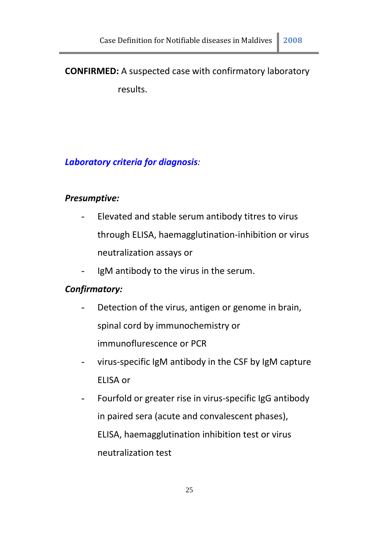# **CONFIRMED:** A suspected case with confirmatory laboratory results.

# *Laboratory criteria for diagnosis:*

#### *Presumptive:*

- Elevated and stable serum antibody titres to virus through ELISA, haemagglutination-inhibition or virus neutralization assays or
- IgM antibody to the virus in the serum.

#### *Confirmatory:*

- Detection of the virus, antigen or genome in brain, spinal cord by immunochemistry or immunoflurescence or PCR
- virus-specific IgM antibody in the CSF by IgM capture ELISA or
- Fourfold or greater rise in virus-specific IgG antibody in paired sera (acute and convalescent phases), ELISA, haemagglutination inhibition test or virus neutralization test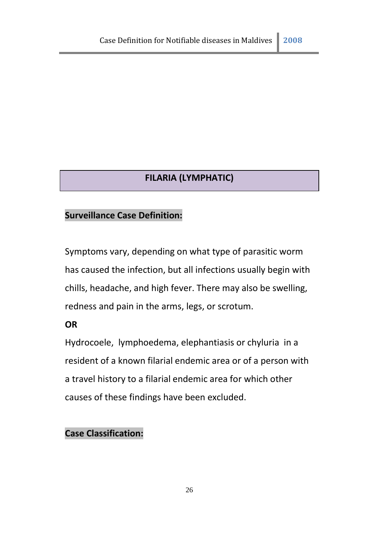# **FILARIA (LYMPHATIC)**

# **Surveillance Case Definition:**

Symptoms vary, depending on what type of parasitic worm has caused the infection, but all infections usually begin with chills, headache, and high fever. There may also be swelling, redness and pain in the arms, legs, or scrotum.

#### **OR**

Hydrocoele, lymphoedema, elephantiasis or chyluria in a resident of a known filarial endemic area or of a person with a travel history to a filarial endemic area for which other causes of these findings have been excluded.

# **Case Classification:**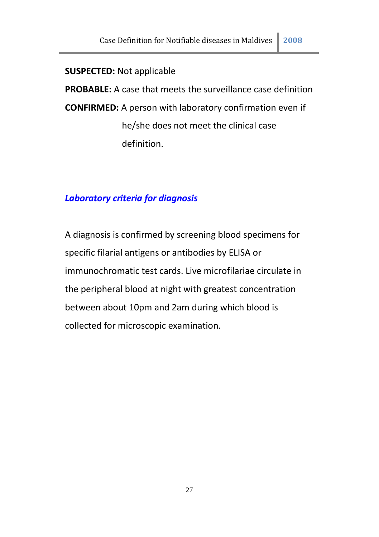#### **SUSPECTED:** Not applicable

**PROBABLE:** A case that meets the surveillance case definition **CONFIRMED:** A person with laboratory confirmation even if he/she does not meet the clinical case definition.

#### *Laboratory criteria for diagnosis*

A diagnosis is confirmed by screening blood specimens for specific filarial antigens or antibodies by ELISA or immunochromatic test cards. Live microfilariae circulate in the peripheral blood at night with greatest concentration between about 10pm and 2am during which blood is collected for microscopic examination.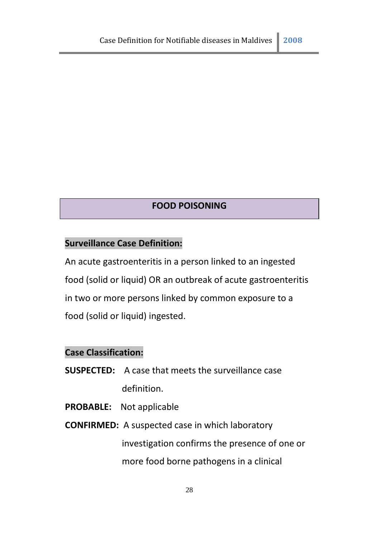#### **FOOD POISONING**

# **Surveillance Case Definition:**

An acute gastroenteritis in a person linked to an ingested food (solid or liquid) OR an outbreak of acute gastroenteritis in two or more persons linked by common exposure to a food (solid or liquid) ingested.

# **Case Classification:**

- **SUSPECTED:** A case that meets the surveillance case definition.
- **PROBABLE:** Not applicable
- **CONFIRMED:** A suspected case in which laboratory investigation confirms the presence of one or more food borne pathogens in a clinical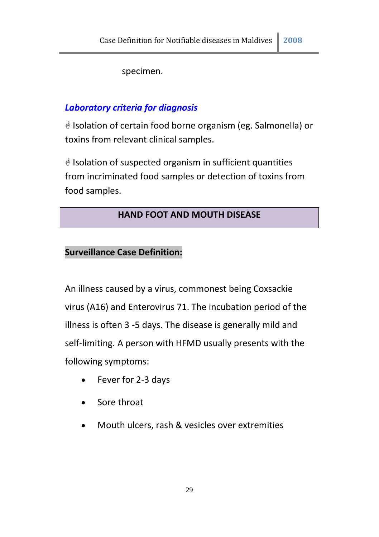specimen.

# *Laboratory criteria for diagnosis*

 Isolation of certain food borne organism (eg. Salmonella) or toxins from relevant clinical samples.

 $\triangleleft$  Isolation of suspected organism in sufficient quantities from incriminated food samples or detection of toxins from food samples.

# **HAND FOOT AND MOUTH DISEASE**

# **Surveillance Case Definition:**

An illness caused by a virus, commonest being Coxsackie virus (A16) and Enterovirus 71. The incubation period of the illness is often 3 -5 days. The disease is generally mild and self-limiting. A person with HFMD usually presents with the following symptoms:

- Fever for 2-3 days
- Sore throat
- Mouth ulcers, rash & vesicles over extremities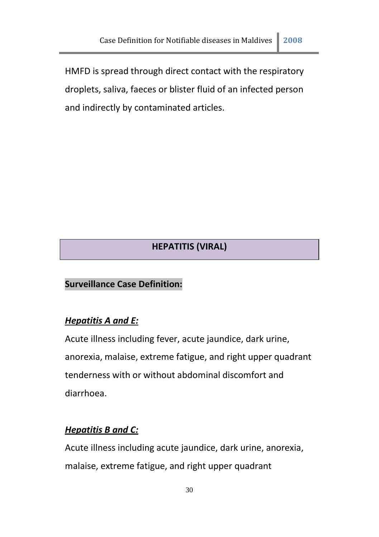HMFD is spread through direct contact with the respiratory droplets, saliva, faeces or blister fluid of an infected person and indirectly by contaminated articles.

# **HEPATITIS (VIRAL)**

#### **Surveillance Case Definition:**

#### *Hepatitis A and E:*

Acute illness including fever, acute jaundice, dark urine, anorexia, malaise, extreme fatigue, and right upper quadrant tenderness with or without abdominal discomfort and diarrhoea.

#### *Hepatitis B and C:*

Acute illness including acute jaundice, dark urine, anorexia, malaise, extreme fatigue, and right upper quadrant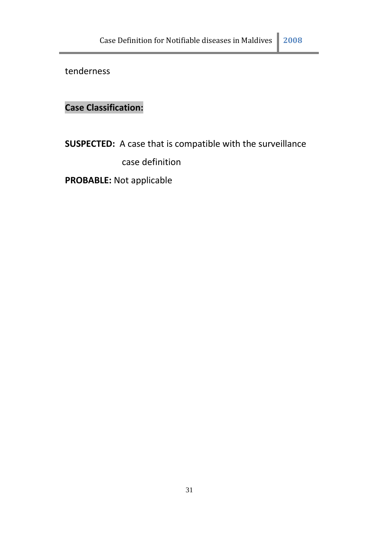tenderness

# **Case Classification:**

**SUSPECTED:** A case that is compatible with the surveillance

case definition

**PROBABLE:** Not applicable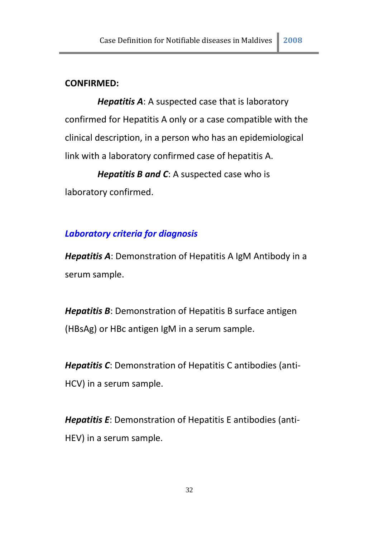#### **CONFIRMED:**

*Hepatitis A*: A suspected case that is laboratory confirmed for Hepatitis A only or a case compatible with the clinical description, in a person who has an epidemiological link with a laboratory confirmed case of hepatitis A.

*Hepatitis B and C*: A suspected case who is laboratory confirmed.

#### *Laboratory criteria for diagnosis*

*Hepatitis A*: Demonstration of Hepatitis A IgM Antibody in a serum sample.

*Hepatitis B*: Demonstration of Hepatitis B surface antigen (HBsAg) or HBc antigen IgM in a serum sample.

*Hepatitis C*: Demonstration of Hepatitis C antibodies (anti-HCV) in a serum sample.

*Hepatitis E*: Demonstration of Hepatitis E antibodies (anti-HEV) in a serum sample.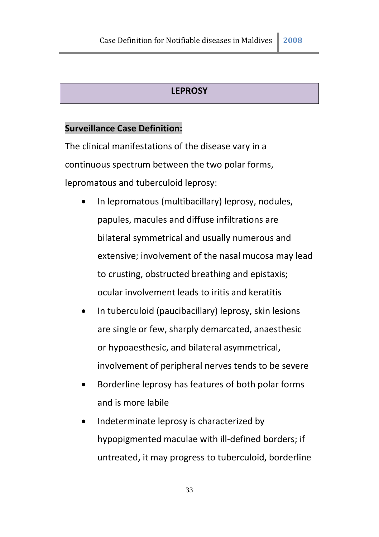#### **LEPROSY**

#### **Surveillance Case Definition:**

The clinical manifestations of the disease vary in a continuous spectrum between the two polar forms, lepromatous and tuberculoid leprosy:

- In lepromatous (multibacillary) leprosy, nodules, papules, macules and diffuse infiltrations are bilateral symmetrical and usually numerous and extensive; involvement of the nasal mucosa may lead to crusting, obstructed breathing and epistaxis; ocular involvement leads to iritis and keratitis
- In tuberculoid (paucibacillary) leprosy, skin lesions are single or few, sharply demarcated, anaesthesic or hypoaesthesic, and bilateral asymmetrical, involvement of peripheral nerves tends to be severe
- Borderline leprosy has features of both polar forms and is more labile
- Indeterminate leprosy is characterized by hypopigmented maculae with ill-defined borders; if untreated, it may progress to tuberculoid, borderline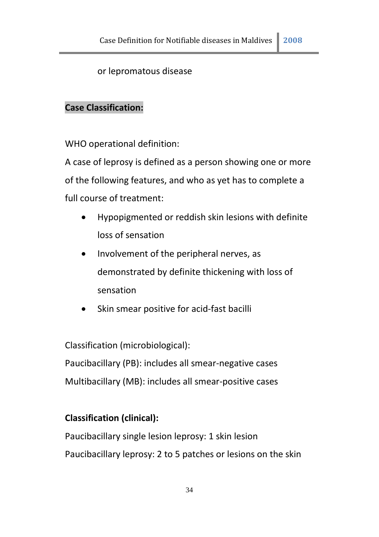# or lepromatous disease

# **Case Classification:**

WHO operational definition:

A case of leprosy is defined as a person showing one or more of the following features, and who as yet has to complete a full course of treatment:

- Hypopigmented or reddish skin lesions with definite loss of sensation
- Involvement of the peripheral nerves, as demonstrated by definite thickening with loss of sensation
- Skin smear positive for acid-fast bacilli

Classification (microbiological): Paucibacillary (PB): includes all smear-negative cases Multibacillary (MB): includes all smear-positive cases

# **Classification (clinical):**

Paucibacillary single lesion leprosy: 1 skin lesion Paucibacillary leprosy: 2 to 5 patches or lesions on the skin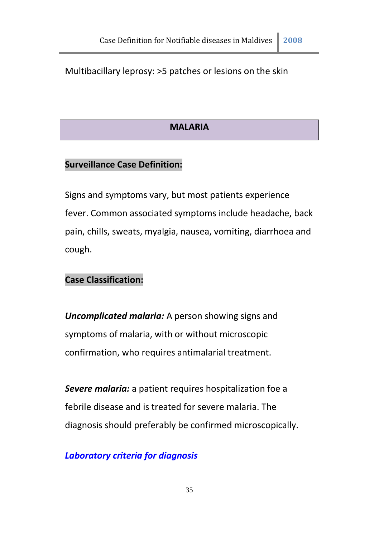#### Multibacillary leprosy: >5 patches or lesions on the skin

#### **MALARIA**

#### **Surveillance Case Definition:**

Signs and symptoms vary, but most patients experience fever. Common associated symptoms include headache, back pain, chills, sweats, myalgia, nausea, vomiting, diarrhoea and cough.

#### **Case Classification:**

*Uncomplicated malaria:* A person showing signs and symptoms of malaria, with or without microscopic confirmation, who requires antimalarial treatment.

**Severe malaria:** a patient requires hospitalization foe a febrile disease and is treated for severe malaria. The diagnosis should preferably be confirmed microscopically.

#### *Laboratory criteria for diagnosis*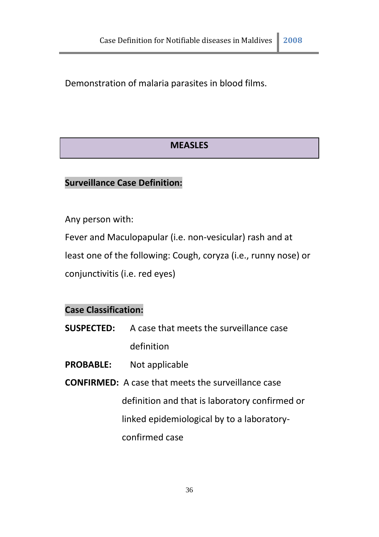Demonstration of malaria parasites in blood films.

# **MEASLES**

#### **Surveillance Case Definition:**

Any person with:

Fever and Maculopapular (i.e. non-vesicular) rash and at

least one of the following: Cough, coryza (i.e., runny nose) or

conjunctivitis (i.e. red eyes)

#### **Case Classification:**

- **SUSPECTED:** A case that meets the surveillance case definition
- **PROBABLE:** Not applicable
- **CONFIRMED:** A case that meets the surveillance case definition and that is laboratory confirmed or linked epidemiological by to a laboratoryconfirmed case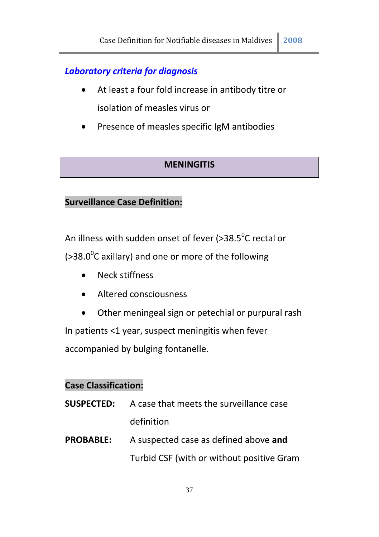# *Laboratory criteria for diagnosis*

- At least a four fold increase in antibody titre or isolation of measles virus or
- Presence of measles specific IgM antibodies

# **MENINGITIS**

# **Surveillance Case Definition:**

An illness with sudden onset of fever (>38.5 $\mathrm{^0}$ C rectal or ( $>38.0^{\circ}$ C axillary) and one or more of the following

- Neck stiffness
- Altered consciousness
- Other meningeal sign or petechial or purpural rash In patients <1 year, suspect meningitis when fever accompanied by bulging fontanelle.

# **Case Classification:**

- **SUSPECTED:** A case that meets the surveillance case definition
- **PROBABLE:** A suspected case as defined above **and** Turbid CSF (with or without positive Gram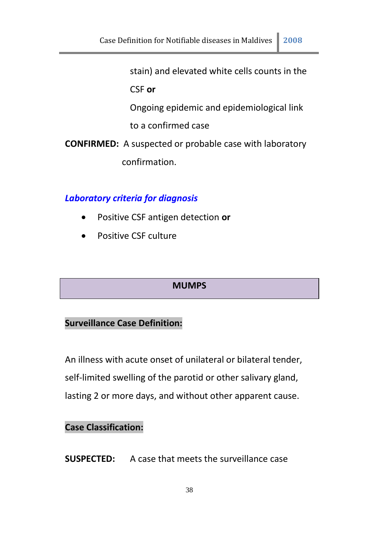stain) and elevated white cells counts in the

CSF **or**

Ongoing epidemic and epidemiological link

to a confirmed case

**CONFIRMED:** A suspected or probable case with laboratory confirmation.

# *Laboratory criteria for diagnosis*

- Positive CSF antigen detection **or**
- **•** Positive CSF culture

# **MUMPS**

# **Surveillance Case Definition:**

An illness with acute onset of unilateral or bilateral tender, self-limited swelling of the parotid or other salivary gland, lasting 2 or more days, and without other apparent cause.

#### **Case Classification:**

**SUSPECTED:** A case that meets the surveillance case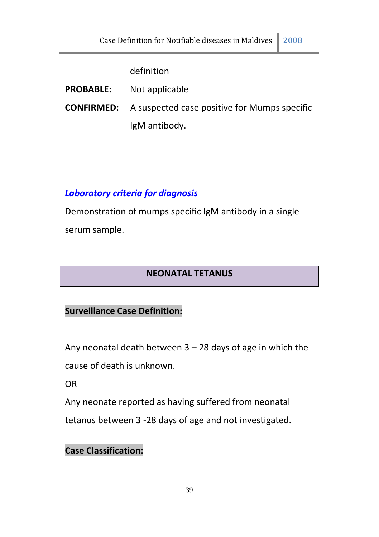#### definition

| <b>PROBABLE:</b> | Not applicable |
|------------------|----------------|
|------------------|----------------|

**CONFIRMED:** A suspected case positive for Mumps specific IgM antibody.

# *Laboratory criteria for diagnosis*

Demonstration of mumps specific IgM antibody in a single serum sample.

# **NEONATAL TETANUS**

# **Surveillance Case Definition:**

Any neonatal death between 3 – 28 days of age in which the cause of death is unknown.

OR

Any neonate reported as having suffered from neonatal

tetanus between 3 -28 days of age and not investigated.

**Case Classification:**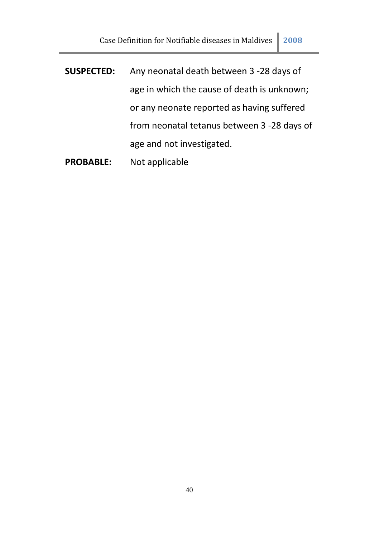- **SUSPECTED:** Any neonatal death between 3 -28 days of age in which the cause of death is unknown; or any neonate reported as having suffered from neonatal tetanus between 3 -28 days of age and not investigated.
- **PROBABLE:** Not applicable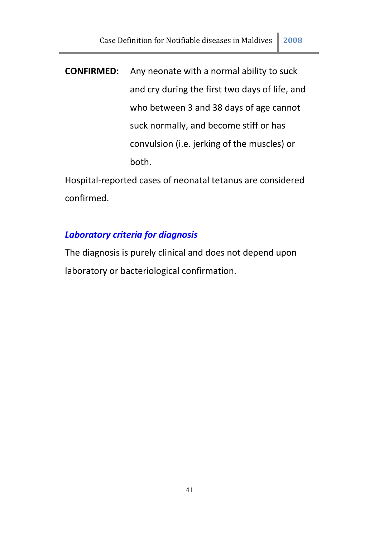**CONFIRMED:** Any neonate with a normal ability to suck and cry during the first two days of life, and who between 3 and 38 days of age cannot suck normally, and become stiff or has convulsion (i.e. jerking of the muscles) or both.

Hospital-reported cases of neonatal tetanus are considered confirmed.

# *Laboratory criteria for diagnosis*

The diagnosis is purely clinical and does not depend upon laboratory or bacteriological confirmation.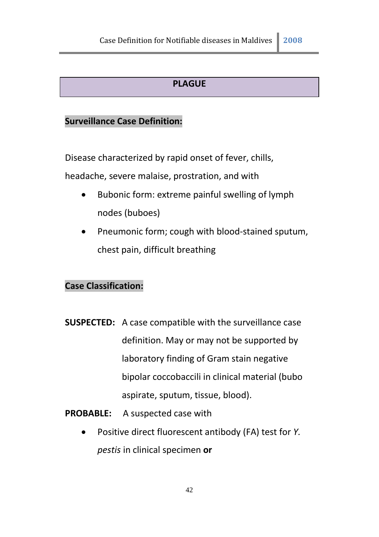# **PLAGUE**

# **Surveillance Case Definition:**

Disease characterized by rapid onset of fever, chills,

headache, severe malaise, prostration, and with

- Bubonic form: extreme painful swelling of lymph nodes (buboes)
- Pneumonic form; cough with blood-stained sputum, chest pain, difficult breathing

# **Case Classification:**

**SUSPECTED:** A case compatible with the surveillance case definition. May or may not be supported by laboratory finding of Gram stain negative bipolar coccobaccili in clinical material (bubo aspirate, sputum, tissue, blood).

**PROBABLE:** A suspected case with

 Positive direct fluorescent antibody (FA) test for *Y. pestis* in clinical specimen **or**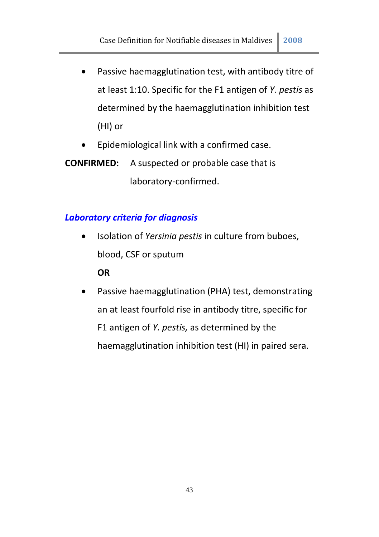- Passive haemagglutination test, with antibody titre of at least 1:10. Specific for the F1 antigen of *Y. pestis* as determined by the haemagglutination inhibition test (HI) or
- Epidemiological link with a confirmed case.
- **CONFIRMED:** A suspected or probable case that is laboratory-confirmed.

# *Laboratory criteria for diagnosis*

 Isolation of *Yersinia pestis* in culture from buboes, blood, CSF or sputum

#### **OR**

 Passive haemagglutination (PHA) test, demonstrating an at least fourfold rise in antibody titre, specific for F1 antigen of *Y. pestis,* as determined by the haemagglutination inhibition test (HI) in paired sera.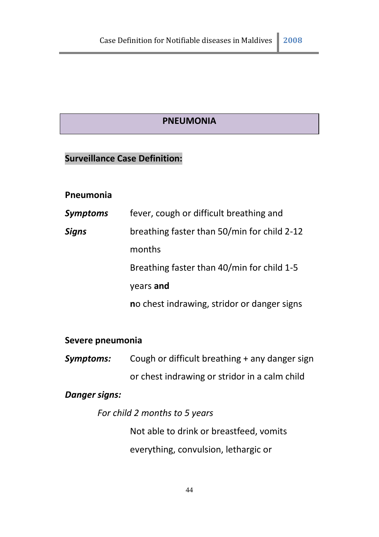#### **PNEUMONIA**

# **Surveillance Case Definition:**

#### **Pneumonia**

| <b>Symptoms</b> | fever, cough or difficult breathing and     |
|-----------------|---------------------------------------------|
| <b>Signs</b>    | breathing faster than 50/min for child 2-12 |
|                 | months                                      |
|                 | Breathing faster than 40/min for child 1-5  |
|                 | years and                                   |
|                 | no chest indrawing, stridor or danger signs |

#### **Severe pneumonia**

*Symptoms:* Cough or difficult breathing + any danger sign or chest indrawing or stridor in a calm child

# *Danger signs:*

*For child 2 months to 5 years* 

Not able to drink or breastfeed, vomits everything, convulsion, lethargic or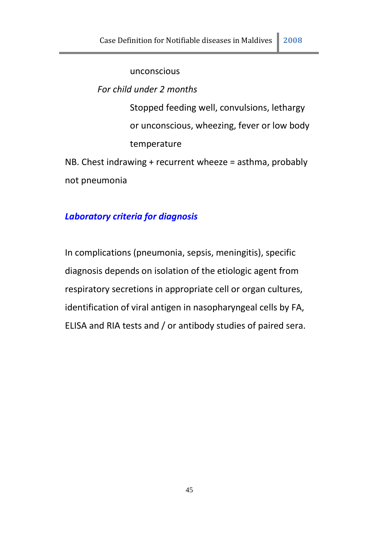unconscious

*For child under 2 months* 

Stopped feeding well, convulsions, lethargy or unconscious, wheezing, fever or low body temperature

NB. Chest indrawing + recurrent wheeze = asthma, probably not pneumonia

# *Laboratory criteria for diagnosis*

In complications (pneumonia, sepsis, meningitis), specific diagnosis depends on isolation of the etiologic agent from respiratory secretions in appropriate cell or organ cultures, identification of viral antigen in nasopharyngeal cells by FA, ELISA and RIA tests and / or antibody studies of paired sera.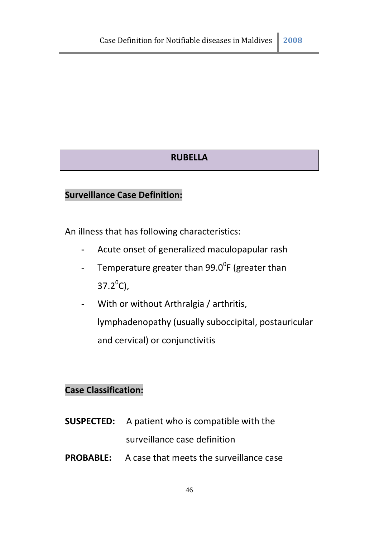# **RUBELLA**

#### **Surveillance Case Definition:**

An illness that has following characteristics:

- Acute onset of generalized maculopapular rash
- Temperature greater than 99.0<sup>0</sup>F (greater than  $37.2^{\circ}$ C),
- With or without Arthralgia / arthritis, lymphadenopathy (usually suboccipital, postauricular and cervical) or conjunctivitis

# **Case Classification:**

- **SUSPECTED:** A patient who is compatible with the surveillance case definition
- **PROBABLE:** A case that meets the surveillance case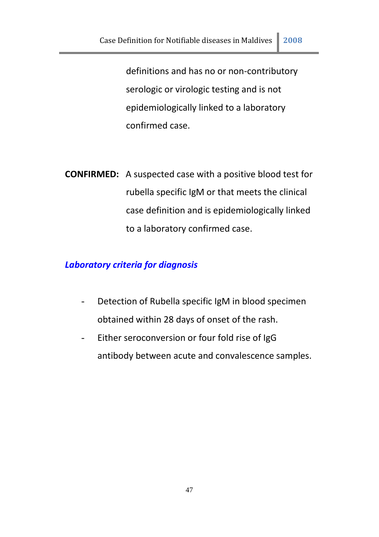definitions and has no or non-contributory serologic or virologic testing and is not epidemiologically linked to a laboratory confirmed case.

**CONFIRMED:** A suspected case with a positive blood test for rubella specific IgM or that meets the clinical case definition and is epidemiologically linked to a laboratory confirmed case.

#### *Laboratory criteria for diagnosis*

- Detection of Rubella specific IgM in blood specimen obtained within 28 days of onset of the rash.
- Either seroconversion or four fold rise of IgG antibody between acute and convalescence samples.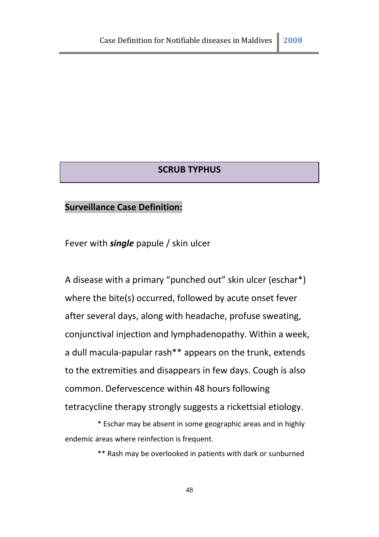#### **SCRUB TYPHUS**

#### **Surveillance Case Definition:**

Fever with *single* papule / skin ulcer

A disease with a primary "punched out" skin ulcer (eschar\*) where the bite(s) occurred, followed by acute onset fever after several days, along with headache, profuse sweating, conjunctival injection and lymphadenopathy. Within a week, a dull macula-papular rash\*\* appears on the trunk, extends to the extremities and disappears in few days. Cough is also common. Defervescence within 48 hours following tetracycline therapy strongly suggests a rickettsial etiology.

\* Eschar may be absent in some geographic areas and in highly endemic areas where reinfection is frequent.

\*\* Rash may be overlooked in patients with dark or sunburned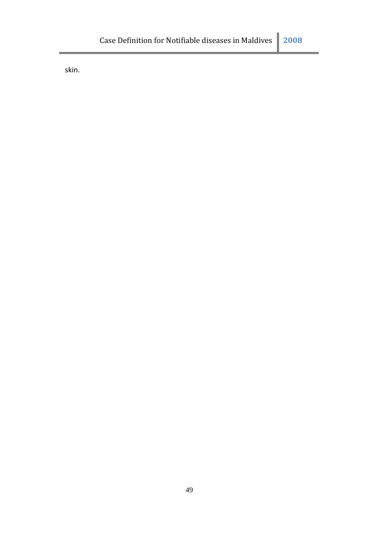skin.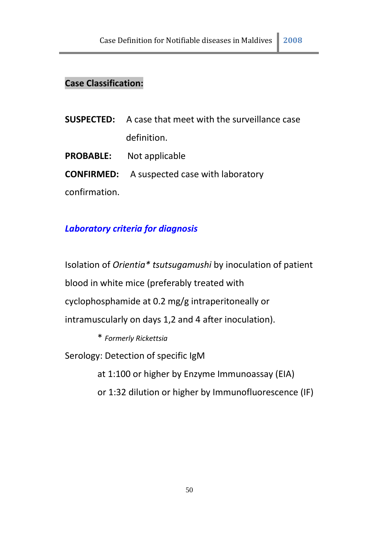# **Case Classification:**

|               | <b>SUSPECTED:</b> A case that meet with the surveillance case |
|---------------|---------------------------------------------------------------|
|               | definition.                                                   |
|               | <b>PROBABLE:</b> Not applicable                               |
|               | <b>CONFIRMED:</b> A suspected case with laboratory            |
| confirmation. |                                                               |

# *Laboratory criteria for diagnosis*

Isolation of *Orientia\* tsutsugamushi* by inoculation of patient blood in white mice (preferably treated with cyclophosphamide at 0.2 mg/g intraperitoneally or intramuscularly on days 1,2 and 4 after inoculation).

\* *Formerly Rickettsia*

Serology: Detection of specific IgM

at 1:100 or higher by Enzyme Immunoassay (EIA)

or 1:32 dilution or higher by Immunofluorescence (IF)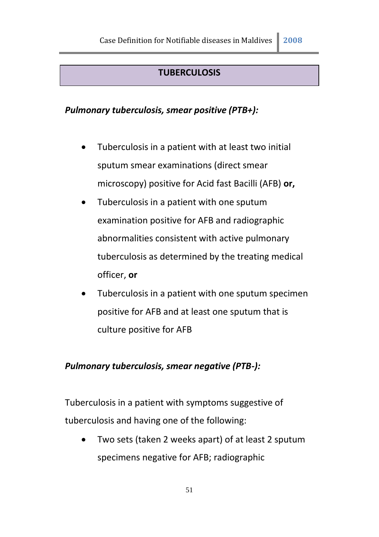#### **TUBERCULOSIS**

# *Pulmonary tuberculosis, smear positive (PTB+):*

- Tuberculosis in a patient with at least two initial sputum smear examinations (direct smear microscopy) positive for Acid fast Bacilli (AFB) **or,**
- Tuberculosis in a patient with one sputum examination positive for AFB and radiographic abnormalities consistent with active pulmonary tuberculosis as determined by the treating medical officer, **or**
- Tuberculosis in a patient with one sputum specimen positive for AFB and at least one sputum that is culture positive for AFB

#### *Pulmonary tuberculosis, smear negative (PTB-):*

Tuberculosis in a patient with symptoms suggestive of tuberculosis and having one of the following:

 Two sets (taken 2 weeks apart) of at least 2 sputum specimens negative for AFB; radiographic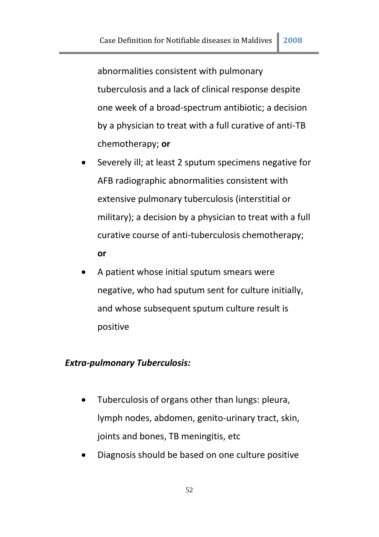abnormalities consistent with pulmonary tuberculosis and a lack of clinical response despite one week of a broad-spectrum antibiotic; a decision by a physician to treat with a full curative of anti-TB chemotherapy; **or**

- Severely ill; at least 2 sputum specimens negative for AFB radiographic abnormalities consistent with extensive pulmonary tuberculosis (interstitial or military); a decision by a physician to treat with a full curative course of anti-tuberculosis chemotherapy; **or**
- A patient whose initial sputum smears were negative, who had sputum sent for culture initially, and whose subsequent sputum culture result is positive

#### *Extra-pulmonary Tuberculosis:*

- Tuberculosis of organs other than lungs: pleura, lymph nodes, abdomen, genito-urinary tract, skin, joints and bones, TB meningitis, etc
- Diagnosis should be based on one culture positive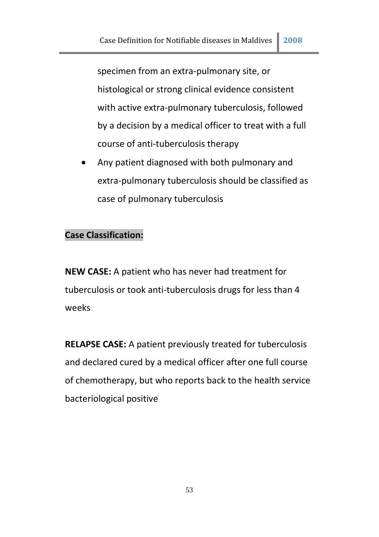specimen from an extra-pulmonary site, or histological or strong clinical evidence consistent with active extra-pulmonary tuberculosis, followed by a decision by a medical officer to treat with a full course of anti-tuberculosis therapy

 Any patient diagnosed with both pulmonary and extra-pulmonary tuberculosis should be classified as case of pulmonary tuberculosis

# **Case Classification:**

**NEW CASE:** A patient who has never had treatment for tuberculosis or took anti-tuberculosis drugs for less than 4 weeks

**RELAPSE CASE:** A patient previously treated for tuberculosis and declared cured by a medical officer after one full course of chemotherapy, but who reports back to the health service bacteriological positive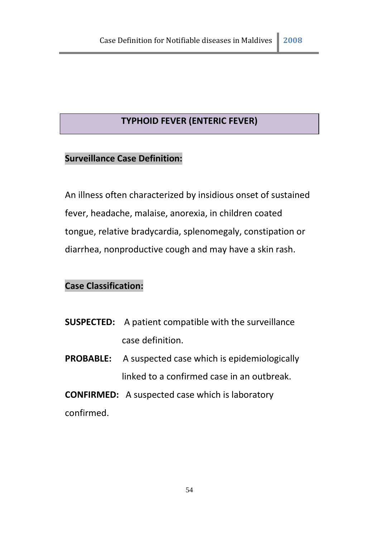# **TYPHOID FEVER (ENTERIC FEVER)**

#### **Surveillance Case Definition:**

An illness often characterized by insidious onset of sustained fever, headache, malaise, anorexia, in children coated tongue, relative bradycardia, splenomegaly, constipation or diarrhea, nonproductive cough and may have a skin rash.

# **Case Classification:**

- **SUSPECTED:** A patient compatible with the surveillance case definition.
- **PROBABLE:** A suspected case which is epidemiologically linked to a confirmed case in an outbreak.

**CONFIRMED:** A suspected case which is laboratory confirmed.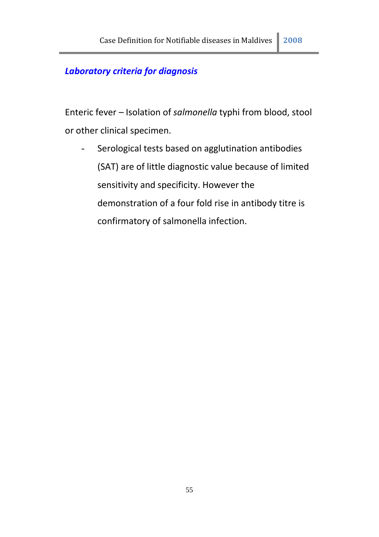# *Laboratory criteria for diagnosis*

Enteric fever – Isolation of *salmonella* typhi from blood, stool or other clinical specimen.

- Serological tests based on agglutination antibodies (SAT) are of little diagnostic value because of limited sensitivity and specificity. However the demonstration of a four fold rise in antibody titre is confirmatory of salmonella infection.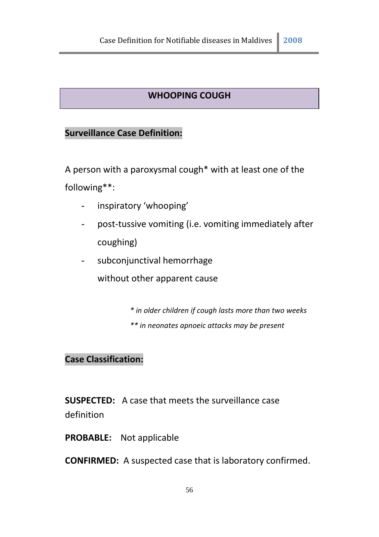# **WHOOPING COUGH**

# **Surveillance Case Definition:**

A person with a paroxysmal cough\* with at least one of the following\*\*:

- inspiratory 'whooping'
- post-tussive vomiting (i.e. vomiting immediately after coughing)
- subconjunctival hemorrhage

without other apparent cause

- *\* in older children if cough lasts more than two weeks*
- *\*\* in neonates apnoeic attacks may be present*

# **Case Classification:**

**SUSPECTED:** A case that meets the surveillance case definition

**PROBABLE:** Not applicable

**CONFIRMED:** A suspected case that is laboratory confirmed.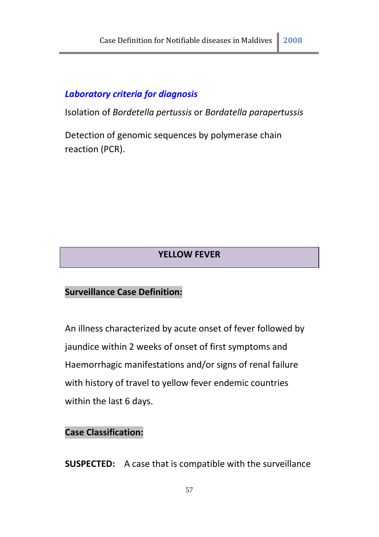# *Laboratory criteria for diagnosis*

Isolation of *Bordetella pertussis* or *Bordatella parapertussis*

Detection of genomic sequences by polymerase chain reaction (PCR).

# **YELLOW FEVER**

#### **Surveillance Case Definition:**

An illness characterized by acute onset of fever followed by jaundice within 2 weeks of onset of first symptoms and Haemorrhagic manifestations and/or signs of renal failure with history of travel to yellow fever endemic countries within the last 6 days.

#### **Case Classification:**

**SUSPECTED:** A case that is compatible with the surveillance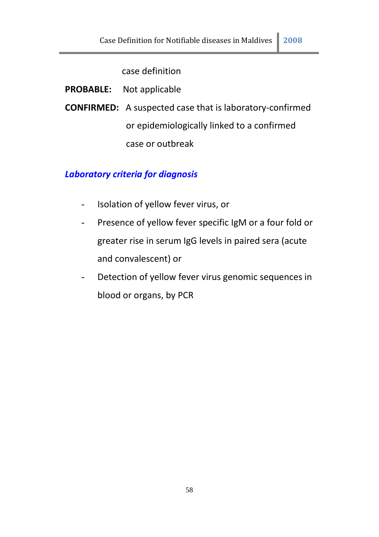case definition

**PROBABLE:** Not applicable

**CONFIRMED:** A suspected case that is laboratory-confirmed or epidemiologically linked to a confirmed case or outbreak

# *Laboratory criteria for diagnosis*

- Isolation of yellow fever virus, or
- Presence of yellow fever specific IgM or a four fold or greater rise in serum IgG levels in paired sera (acute and convalescent) or
- Detection of yellow fever virus genomic sequences in blood or organs, by PCR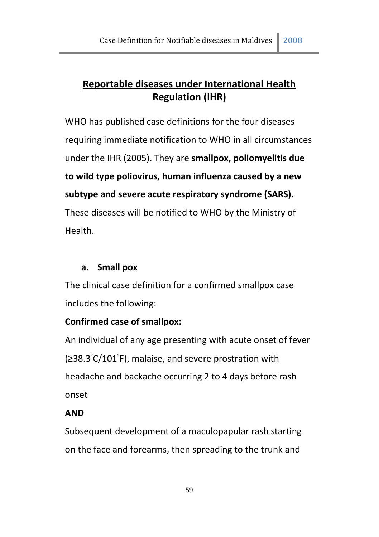# **Reportable diseases under International Health Regulation (IHR)**

WHO has published case definitions for the four diseases requiring immediate notification to WHO in all circumstances under the IHR (2005). They are **smallpox, poliomyelitis due to wild type poliovirus, human influenza caused by a new subtype and severe acute respiratory syndrome (SARS).**  These diseases will be notified to WHO by the Ministry of Health.

# **a. Small pox**

The clinical case definition for a confirmed smallpox case includes the following:

# **Confirmed case of smallpox:**

An individual of any age presenting with acute onset of fever (≥38.3◦ C/101◦ F), malaise, and severe prostration with headache and backache occurring 2 to 4 days before rash onset

# **AND**

Subsequent development of a maculopapular rash starting on the face and forearms, then spreading to the trunk and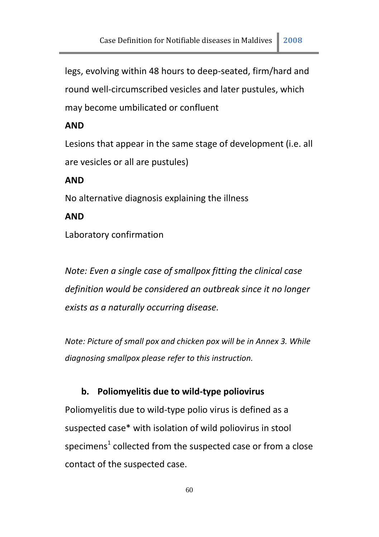legs, evolving within 48 hours to deep-seated, firm/hard and round well-circumscribed vesicles and later pustules, which may become umbilicated or confluent

#### **AND**

Lesions that appear in the same stage of development (i.e. all are vesicles or all are pustules)

#### **AND**

No alternative diagnosis explaining the illness

#### **AND**

Laboratory confirmation

*Note: Even a single case of smallpox fitting the clinical case definition would be considered an outbreak since it no longer exists as a naturally occurring disease.* 

*Note: Picture of small pox and chicken pox will be in Annex 3. While diagnosing smallpox please refer to this instruction.* 

#### **b. Poliomyelitis due to wild-type poliovirus**

Poliomyelitis due to wild-type polio virus is defined as a suspected case\* with isolation of wild poliovirus in stool specimens<sup>1</sup> collected from the suspected case or from a close contact of the suspected case.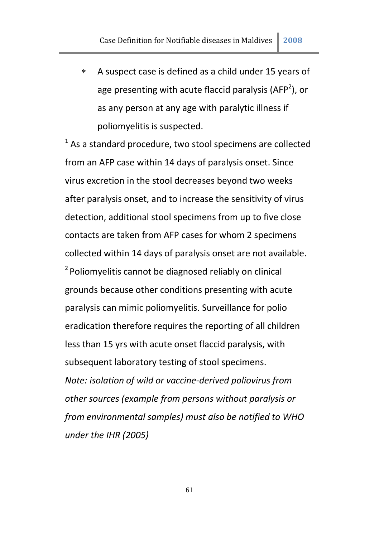A suspect case is defined as a child under 15 years of age presenting with acute flaccid paralysis (AFP<sup>2</sup>), or as any person at any age with paralytic illness if poliomyelitis is suspected.

 $1$  As a standard procedure, two stool specimens are collected from an AFP case within 14 days of paralysis onset. Since virus excretion in the stool decreases beyond two weeks after paralysis onset, and to increase the sensitivity of virus detection, additional stool specimens from up to five close contacts are taken from AFP cases for whom 2 specimens collected within 14 days of paralysis onset are not available.  $2$ Poliomyelitis cannot be diagnosed reliably on clinical grounds because other conditions presenting with acute paralysis can mimic poliomyelitis. Surveillance for polio eradication therefore requires the reporting of all children less than 15 yrs with acute onset flaccid paralysis, with subsequent laboratory testing of stool specimens. *Note: isolation of wild or vaccine-derived poliovirus from other sources (example from persons without paralysis or from environmental samples) must also be notified to WHO under the IHR (2005)*

61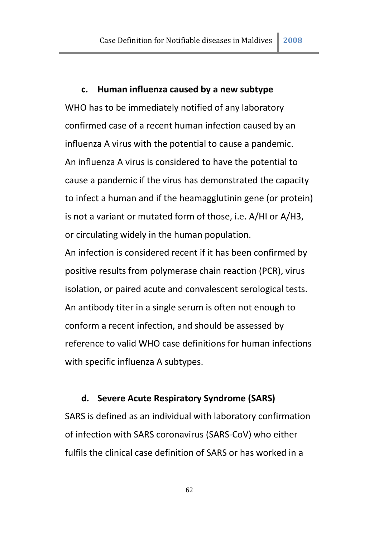#### **c. Human influenza caused by a new subtype**

WHO has to be immediately notified of any laboratory confirmed case of a recent human infection caused by an influenza A virus with the potential to cause a pandemic. An influenza A virus is considered to have the potential to cause a pandemic if the virus has demonstrated the capacity to infect a human and if the heamagglutinin gene (or protein) is not a variant or mutated form of those, i.e. A/HI or A/H3, or circulating widely in the human population.

An infection is considered recent if it has been confirmed by positive results from polymerase chain reaction (PCR), virus isolation, or paired acute and convalescent serological tests. An antibody titer in a single serum is often not enough to conform a recent infection, and should be assessed by reference to valid WHO case definitions for human infections with specific influenza A subtypes.

#### **d. Severe Acute Respiratory Syndrome (SARS)**

SARS is defined as an individual with laboratory confirmation of infection with SARS coronavirus (SARS-CoV) who either fulfils the clinical case definition of SARS or has worked in a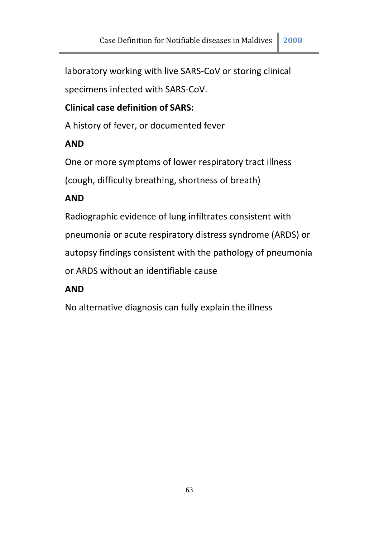laboratory working with live SARS-CoV or storing clinical

specimens infected with SARS-CoV.

# **Clinical case definition of SARS:**

A history of fever, or documented fever

# **AND**

One or more symptoms of lower respiratory tract illness

(cough, difficulty breathing, shortness of breath)

# **AND**

Radiographic evidence of lung infiltrates consistent with pneumonia or acute respiratory distress syndrome (ARDS) or autopsy findings consistent with the pathology of pneumonia or ARDS without an identifiable cause

# **AND**

No alternative diagnosis can fully explain the illness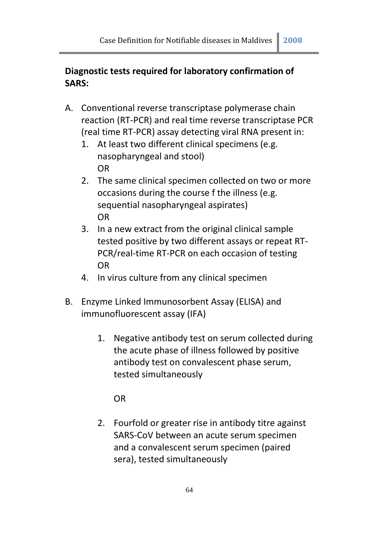# **Diagnostic tests required for laboratory confirmation of SARS:**

- A. Conventional reverse transcriptase polymerase chain reaction (RT-PCR) and real time reverse transcriptase PCR (real time RT-PCR) assay detecting viral RNA present in:
	- 1. At least two different clinical specimens (e.g. nasopharyngeal and stool) OR
	- 2. The same clinical specimen collected on two or more occasions during the course f the illness (e.g. sequential nasopharyngeal aspirates) OR
	- 3. In a new extract from the original clinical sample tested positive by two different assays or repeat RT-PCR/real-time RT-PCR on each occasion of testing OR
	- 4. In virus culture from any clinical specimen
- B. Enzyme Linked Immunosorbent Assay (ELISA) and immunofluorescent assay (IFA)
	- 1. Negative antibody test on serum collected during the acute phase of illness followed by positive antibody test on convalescent phase serum, tested simultaneously

OR

2. Fourfold or greater rise in antibody titre against SARS-CoV between an acute serum specimen and a convalescent serum specimen (paired sera), tested simultaneously